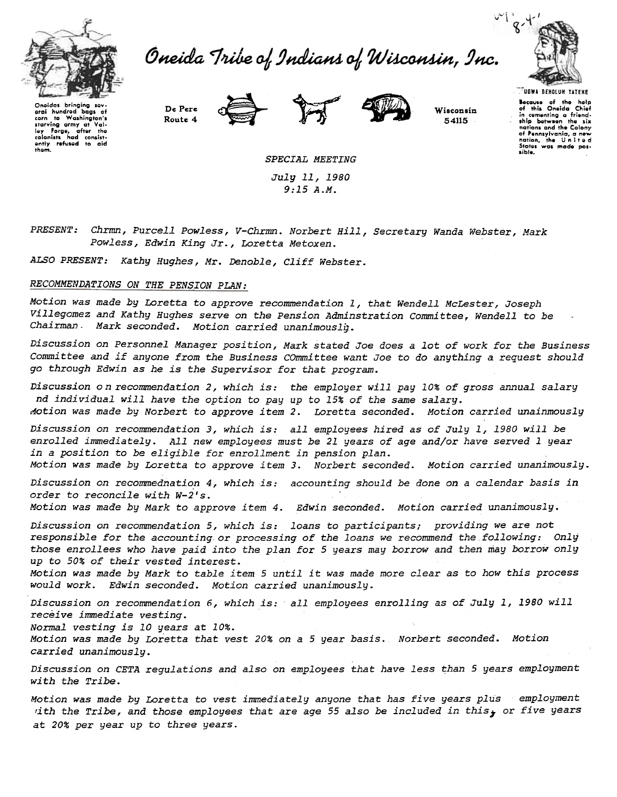

Oneida Tribe of Indians of Wisconsin, Inc.



Onaidas bringing sev oral hundrod baas of corn to Washington's com to washington's<br>starving army at Val-<br>ley Forge, after the<br>colonists had consist-<br>ently refused to aid them.





Wisconsin 54115

**TUGWA BEHOLUN YATEHE** Because of the help<br>of this Oneida Chief in comenting a friend-<br>ship between the six nations and the Colony of Pennsylvania, a new<br>nation, the United<br>States was made possible.

SPECIAL MEETING July 11, 1980  $9:15A.M.$ 

PRESENT: Chrmn, Purcell Powless, V-Chrmn. Norbert Hill, Secretary Wanda Webster, Mark Powless, Edwin King Jr., Loretta Metoxen.

ALSO PRESENT: Kathy Hughes, Mr. Denoble, Cliff Webster.

De Pere

Route 4

### RECOMMENDATIONS ON THE PENSION PLAN:

Motion was made by Loretta to approve recommendation 1, that Wendell McLester, Joseph Villegomez and Kathy Hughes serve on the Pension Adminstration Committee, Wendell to be Chairman. Mark seconded. Motion carried unanimously.

Discussion on Personnel Manager position, Mark stated Joe does a lot of work for the Business Committee and if anyone from the Business COmmittee want Joe to do anything a request should go through Edwin as he is the Supervisor for that program.

Discussion on recommendation 2, which is: the employer will pay 10% of gross annual salary nd individual will have the option to pay up to 15% of the same salary. Motion was made by Norbert to approve item 2. Loretta seconded. Motion carried unainmously

Discussion on recommendation 3, which is: all employees hired as of July 1, 1980 will be enrolled immediately. All new employees must be 21 years of age and/or have served 1 year in a position to be eligible for enrollment in pension plan.

Motion was made by Loretta to approve item 3. Norbert seconded. Motion carried unanimously.

Discussion on recommednation 4, which is: accounting should be done on a calendar basis in order to reconcile with W-2's.

Motion was made by Mark to approve item 4. Edwin seconded. Motion carried unanimously.

Discussion on recommendation 5, which is: loans to participants; providing we are not responsible for the accounting or processing of the loans we recommend the following: Only those enrollees who have paid into the plan for 5 years may borrow and then may borrow only up to 50% of their vested interest.

Motion was made by Mark to table item 5 until it was made more clear as to how this process would work. Edwin seconded. Motion carried unanimously.

Discussion on recommendation 6, which is: all employees enrolling as of July 1, 1980 will receive immediate vesting.

Normal vesting is 10 years at 10%.

Motion was made by Loretta that vest 20% on a 5 year basis. Norbert seconded. Motion carried unanimouslu.

Discussion on CETA requlations and also on employees that have less than 5 years employment with the Tribe.

Motion was made by Loretta to vest immediately anyone that has five years plus employment with the Tribe, and those employees that are age 55 also be included in this, or five years at 20% per year up to three years.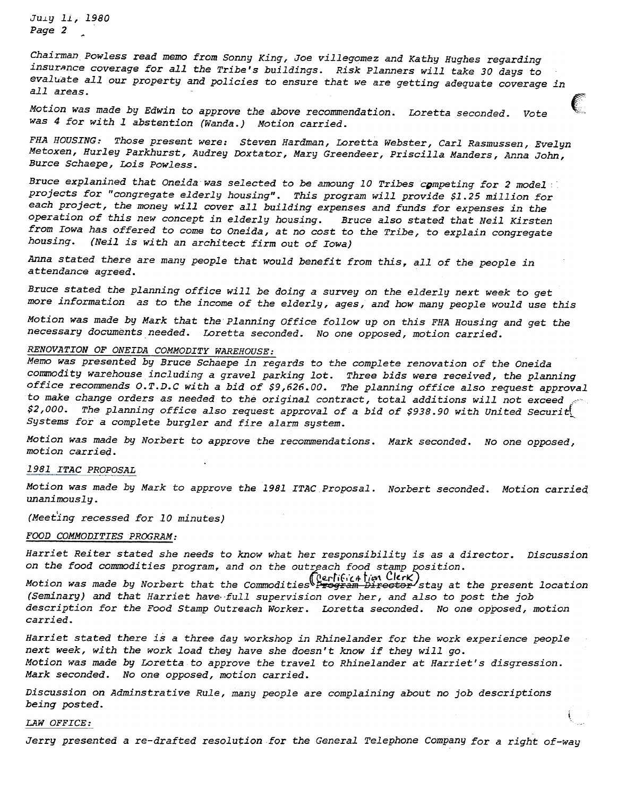JU.LY Ii, 1980 Page 2

Chairman Powless read memo from Sonny King, Joe villegomez and Kathy Hughes regarding insurnnce coverage for all the Tribe's buildings. Risk Planners will take 30 days to evaluate all our property and policies to ensure that we are getting adequate coverage in all areas.

Motion was made by Edwin to approve the above recommendation. Loretta seconded. Vote was 4 for with 1 abstention (Wanda.) Motion carried.

FHA HOUSING: Those present were: Steven Hardman, Loretta Webster, Carl Rasmussen, Evelyn Metoxen, Hurley Parkhurst, Audrey Doxtator, Mary Greendeer, priscilla Manders, Anna John, Burce Schaepe, Lois Powless.

Bruce explanined that Oneida was selected to be amoung 10 Tribes competing for 2 model projects for "congregate elderly housing". This program will provide \$1.25 million for each project, the money will cover all building expenses and funds for expenses in the operation of this new concept in elderly housing. Bruce also stated that Neil Kirsten from Iowa has offered to come to Oneida, at no cost to the Tribe, to explain congregate housing. (Neil is with an architect firm out of Iowa)

Anna stated there are many people that would benefit from this, all of the people in attendance agreed.

Bruce stated the planning office will be doing a survey on the elderly next week to get more information as to the income of the elderly, ages, and how many people would use this

Motion was made by Mark that the Planning Office follow up on this FHA Housing and get the necessary documents needed. Loretta seconded. No one opposed, motion carried.

# RENOVATION OF ONEIDA COMMODITY WAREHOUSE:

Memo was presented by Bruce Schaepe in regards to the complete renovation of the Oneida commodity warehouse including a gravel parking lot. Three bids were received, the planning office recommends O.T.D.C with a bid of \$9,626.00. The planning office also request approval to make change orders as needed to the original contract, total additions will not exceed \$2,000. The planning office also request approval of a bid of \$938.90 with United Securit Systems for a complete burgler and fire alarm system.

Motion was made by Norbert to approve the recommendations. Mark seconded. No one opposed, motion carried.

#### 1981 ITAC PROPOSAL

Motion was made by Mark to approve the 1981 ITAC Proposal. Norbert seconded. Motion carrieq unanimously.

(Meeting recessed for 10 minutes)

#### FOOD COMMODITIES PROGRAM:

Harriet Reiter stated she needs to know what her responsibility is as a director. Discussion on the food commodities program, and on the outreach food stamp position.

Motion was made by Norbert that the Commodities (Lerlification Director stay at the present location (Seminary) and that Harriet have full supervision over her, and also to post the job description for the Food Stamp Outreach Worker. Loretta seconded. No one opposed, motion carried.

Harriet stated there is a three day workshop in Rhinelander for the work experience people next week, with the work load they have she doesn't know if they will go. Motion was made by Loretta to approve the travel to Rhinelander at Harriet's disgression. Mark seconded. No one opposed, motion carried.

Discussion on Adminstrative Rule, many people are complaining about no job descriptions being posted.

## $\mathcal{L}$  and  $\mathcal{L}$  denotes the set of the set of the set of the set of the set of the set of the set of the set of the set of the set of the set of the set of the set of the set of the set of the set of the set of the

Jerry presented a re-drafted resolution for the General Telephone Company for a right of-way

i